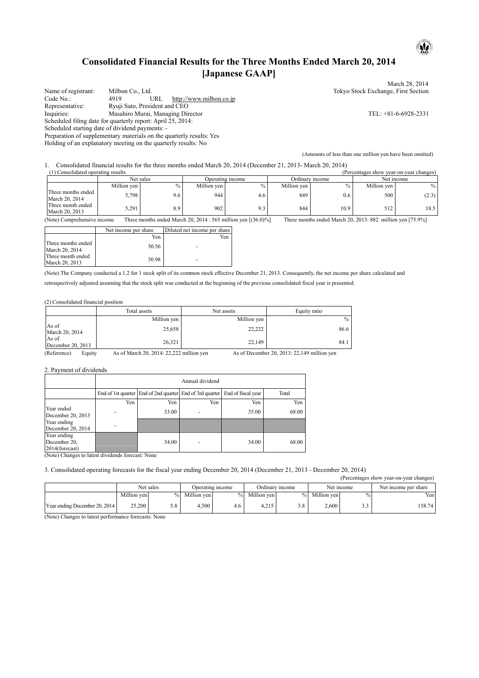# **Consolidated Financial Results for the Three Months Ended March 20, 2014 [Japanese GAAP]**

March 28, 2014 Name of registrant: Milbon Co., Ltd. Tokyo Stock Exchange, First Section<br>
Code No.: 4919 URL http://www.milbon.co.jp Code No.: 4919 URL http://www.milbon.co.jp<br>
Representative: Ryuji Sato, President and CEO Representative: Ryuji Sato, President and CEO<br>Inquiries: Masahiro Murai, Managing Dir Masahiro Murai, Managing Director TEL: +81-6-6928-2331 Scheduled filing date for quarterly report: April 25, 2014: Scheduled starting date of dividend payments: - Preparation of supplementary materials on the quarterly results: Yes Holding of an explanatory meeting on the quarterly results: No (Amounts of less than one million yen have been omitted)

1. Consolidated financial results for the three months ended March 20, 2014 (December 21, 2013- March 20, 2014)

Net sales<br>
Operating income<br>
Operating income<br>
Ordinary income<br>
Ordinary income<br>
Net income<br>
Net income Net sales **Solution Containers Containers Containers Containers Containers Containers Containers Net income Net income Net income Net income Net income Net income Net income Net income Net income Net income Net income Net** Million yen  $\%$  Million yen  $\%$  Million yen  $\%$  Million yen  $\%$  Million yen  $\%$  Million yen  $\%$ Three months ended<br>March 20, 2014 March 20, 2014 5,798 5,798 9.6 9.44 4.6 849 0.6 500 500 (2.3) Three month ended<br>March 20, 2013 March 20, 2013 5.291 5.291 8.9 902 9.3 844 50, 2013 512 18.5

(Note) Comprehensive income Three months ended March 20, 2014 : 565 million yen [(36.0)%] Three months ended March 20, 2013: 882 million yen [75.9%]

|                                      | Net income per share | Diluted net income per share |
|--------------------------------------|----------------------|------------------------------|
|                                      | Yen                  | Yen                          |
| Three months ended<br>March 20, 2014 | 30.56                |                              |
| Three month ended<br>March 20, 2013  | 30.98                |                              |

(Note) The Company conducted a 1.2 for 1 stock split of its common stock effective December 21, 2013. Consequently, the net income per share calculated and retrospectively adjusted assuming that the stock split was conducted at the beginning of the previous consolidated fiscal year is presented.

(2) Consolidated financial position

|                            | Total assets | Net assets  | Equity ratio |
|----------------------------|--------------|-------------|--------------|
|                            | Million yen  | Million yen | $\%$         |
| As of<br>March 20, 2014    | 25,658       | 22,222      | 86.6         |
| As of<br>December 20, 2013 | 26,321       | 22,149      | 84.1         |

(Reference) Equity As of March 20, 2014: 22,222 million yen As of December 20, 2013: 22,149 million yen

2. Payment of dividends

|                                               | Annual dividend |                                                                             |                          |       |       |  |
|-----------------------------------------------|-----------------|-----------------------------------------------------------------------------|--------------------------|-------|-------|--|
|                                               |                 | End of 1st quarter End of 2nd quarter End of 3rd quarter End of fiscal year |                          |       | Total |  |
|                                               | Yen             | Yen                                                                         | Yen                      | Yen   | Yen   |  |
| Year ended<br>December 20, 2013               | ٠               | 33.00                                                                       | $\overline{\phantom{0}}$ | 35.00 | 68.00 |  |
| Year ending<br>December 20, 2014              | ٠               |                                                                             |                          |       |       |  |
| Year ending<br>December 20,<br>2014(forecast) |                 | 34.00                                                                       | $\overline{\phantom{0}}$ | 34.00 | 68.00 |  |

(Note) Changes to latest dividends forecast: None

3. Consolidated operating forecasts for the fiscal year ending December 20, 2014 (December 21, 2013 - December 20, 2014)

| (Percentages show year-on-year changes) |             |      |             |                  |             |                 |               |      |                      |
|-----------------------------------------|-------------|------|-------------|------------------|-------------|-----------------|---------------|------|----------------------|
|                                         | Net sales   |      |             | Operating income |             | Ordinary income | Net income    |      | Net income per share |
|                                         | Million yen | $\%$ | Million yen | $\%$             | Million yen |                 | % Million yen | $\%$ | Yen l                |
| Year ending December 20, 2014           | 25,200      | 5.8  | 4.500       | 4.6              | 4.215       | 3.8             | 2.600         | د.د  | 158.74               |

(Note) Changes to latest performance forecasts: None

 $\mathbf{\omega}$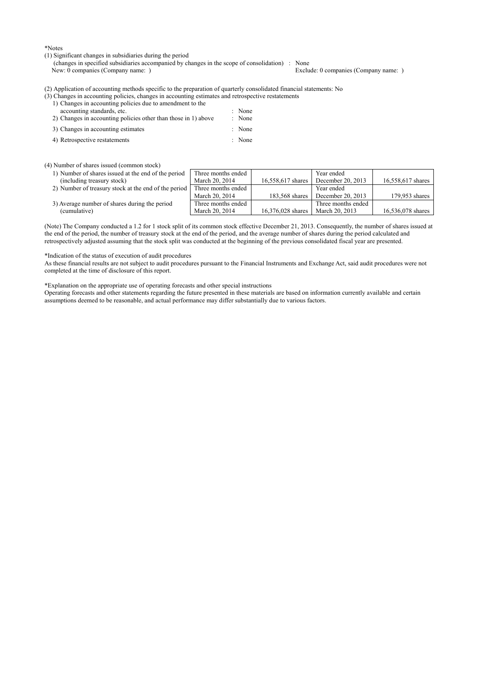\*Notes

- (1) Significant changes in subsidiaries during the period
	- (changes in specified subsidiaries accompanied by changes in the scope of consolidation) : None New: 0 companies (Company name: )

(2) Application of accounting methods specific to the preparation of quarterly consolidated financial statements: No

- (3) Changes in accounting policies, changes in accounting estimates and retrospective restatements
	- 1) Changes in accounting policies due to amendment to the accounting standards, etc.  $\qquad \qquad$  : None

| 2) Changes in accounting policies other than those in 1) above | : None |
|----------------------------------------------------------------|--------|
| 3) Changes in accounting estimates                             | : None |
| 4) Retrospective restatements                                  | : None |

#### (4) Number of shares issued (common stock)

| 1) Number of shares issued at the end of the period  | Three months ended |                   | Year ended          |                   |
|------------------------------------------------------|--------------------|-------------------|---------------------|-------------------|
| (including treasury stock)                           | March 20, 2014     | 16,558,617 shares | December 20, $2013$ | 16,558,617 shares |
| 2) Number of treasury stock at the end of the period | Three months ended |                   | Year ended          |                   |
|                                                      | March 20, 2014     | 183.568 shares    | December 20, 2013   | 179,953 shares    |
| 3) Average number of shares during the period        | Three months ended |                   | Three months ended  |                   |
| (cumulative)                                         | March 20, 2014     | 16.376.028 shares | March 20, 2013      | 16,536,078 shares |

(Note) The Company conducted a 1.2 for 1 stock split of its common stock effective December 21, 2013. Consequently, the number of shares issued at the end of the period, the number of treasury stock at the end of the period, and the average number of shares during the period calculated and retrospectively adjusted assuming that the stock split was conducted at the beginning of the previous consolidated fiscal year are presented.

#### \*Indication of the status of execution of audit procedures

As these financial results are not subject to audit procedures pursuant to the Financial Instruments and Exchange Act, said audit procedures were not completed at the time of disclosure of this report.

\*Explanation on the appropriate use of operating forecasts and other special instructions

Operating forecasts and other statements regarding the future presented in these materials are based on information currently available and certain assumptions deemed to be reasonable, and actual performance may differ substantially due to various factors.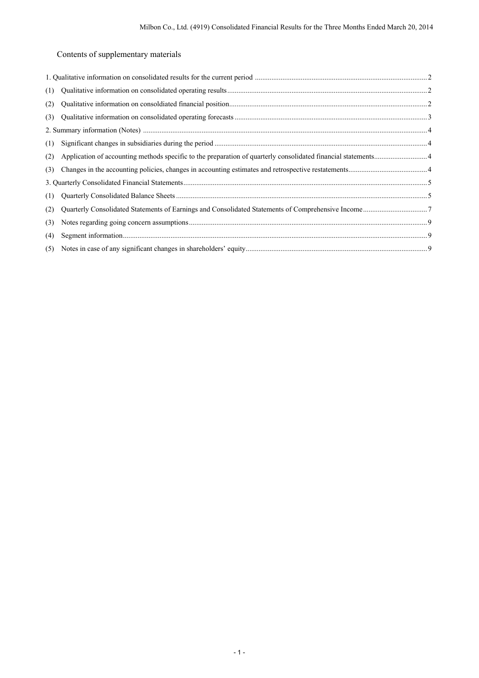Contents of supplementary materials

| (1) |  |
|-----|--|
| (2) |  |
| (3) |  |
|     |  |
| (1) |  |
| (2) |  |
| (3) |  |
|     |  |
| (1) |  |
| (2) |  |
| (3) |  |
| (4) |  |
|     |  |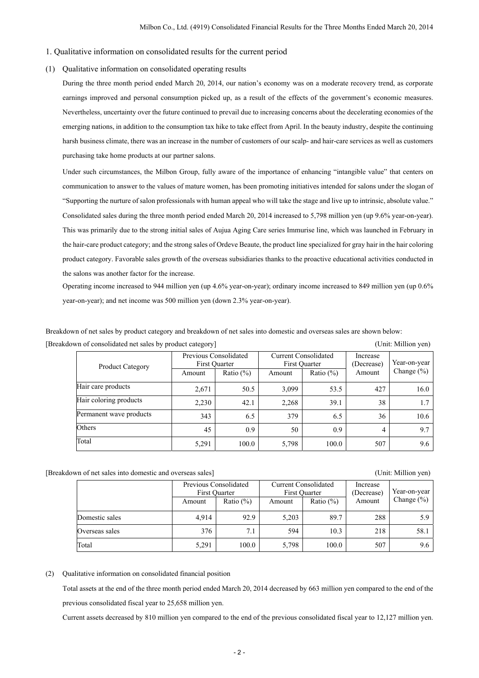### 1. Qualitative information on consolidated results for the current period

# (1) Qualitative information on consolidated operating results

During the three month period ended March 20, 2014, our nation's economy was on a moderate recovery trend, as corporate earnings improved and personal consumption picked up, as a result of the effects of the government's economic measures. Nevertheless, uncertainty over the future continued to prevail due to increasing concerns about the decelerating economies of the emerging nations, in addition to the consumption tax hike to take effect from April. In the beauty industry, despite the continuing harsh business climate, there was an increase in the number of customers of our scalp- and hair-care services as well as customers purchasing take home products at our partner salons.

Under such circumstances, the Milbon Group, fully aware of the importance of enhancing "intangible value" that centers on communication to answer to the values of mature women, has been promoting initiatives intended for salons under the slogan of "Supporting the nurture of salon professionals with human appeal who will take the stage and live up to intrinsic, absolute value." Consolidated sales during the three month period ended March 20, 2014 increased to 5,798 million yen (up 9.6% year-on-year). This was primarily due to the strong initial sales of Aujua Aging Care series Immurise line, which was launched in February in the hair-care product category; and the strong sales of Ordeve Beaute, the product line specialized for gray hair in the hair coloring product category. Favorable sales growth of the overseas subsidiaries thanks to the proactive educational activities conducted in the salons was another factor for the increase.

Operating income increased to 944 million yen (up 4.6% year-on-year); ordinary income increased to 849 million yen (up 0.6% year-on-year); and net income was 500 million yen (down 2.3% year-on-year).

Breakdown of net sales by product category and breakdown of net sales into domestic and overseas sales are shown below: [Breakdown of consolidated net sales by product category] (Unit: Million yen)

| <b>Product Category</b> |        | Previous Consolidated<br>First Ouarter |        | <b>Current Consolidated</b><br>First Ouarter |        | Year-on-year   |
|-------------------------|--------|----------------------------------------|--------|----------------------------------------------|--------|----------------|
|                         | Amount | Ratio $(\%)$                           | Amount | Ratio $(\%)$                                 | Amount | Change $(\% )$ |
| Hair care products      | 2,671  | 50.5                                   | 3,099  | 53.5                                         | 427    | 16.0           |
| Hair coloring products  | 2,230  | 42.1                                   | 2.268  | 39.1                                         | 38     | 1.7            |
| Permanent wave products | 343    | 6.5                                    | 379    | 6.5                                          | 36     | 10.6           |
| Others                  | 45     | 0.9                                    | 50     | 0.9                                          | 4      | 9.7            |
| Total                   | 5,291  | 100.0                                  | 5,798  | 100.0                                        | 507    | 9.6            |

[Breakdown of net sales into domestic and overseas sales] (Unit: Million yen)

|                | Previous Consolidated<br>First Ouarter |              | <b>Current Consolidated</b><br>First Ouarter |              | Increase<br>(Decrease) | Year-on-year   |
|----------------|----------------------------------------|--------------|----------------------------------------------|--------------|------------------------|----------------|
|                | Amount                                 | Ratio $(\%)$ | Amount                                       | Ratio $(\%)$ | Amount                 | Change $(\% )$ |
| Domestic sales | 4.914                                  | 92.9         | 5,203                                        | 89.7         | 288                    | 5.9            |
| Overseas sales | 376                                    | 7.1          | 594                                          | 10.3         | 218                    | 58.1           |
| Total          | 5,291                                  | 100.0        | 5,798                                        | 100.0        | 507                    | 9.6            |

## (2) Qualitative information on consolidated financial position

Total assets at the end of the three month period ended March 20, 2014 decreased by 663 million yen compared to the end of the previous consolidated fiscal year to 25,658 million yen.

Current assets decreased by 810 million yen compared to the end of the previous consolidated fiscal year to 12,127 million yen.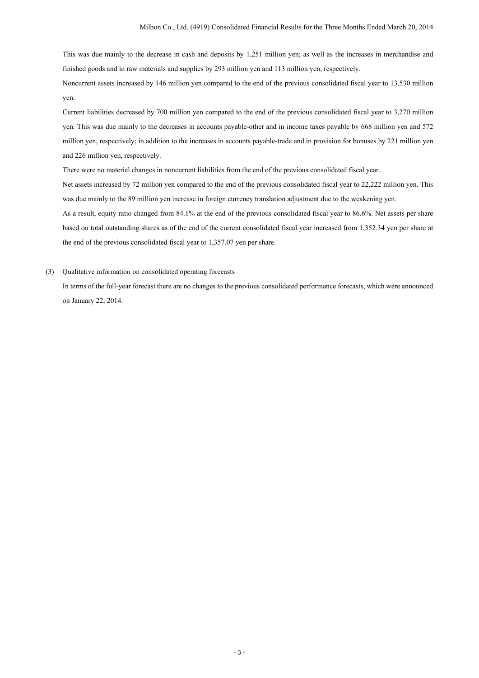This was due mainly to the decrease in cash and deposits by 1,251 million yen; as well as the increases in merchandise and finished goods and in raw materials and supplies by 293 million yen and 113 million yen, respectively.

Noncurrent assets increased by 146 million yen compared to the end of the previous consolidated fiscal year to 13,530 million yen.

Current liabilities decreased by 700 million yen compared to the end of the previous consolidated fiscal year to 3,270 million yen. This was due mainly to the decreases in accounts payable-other and in income taxes payable by 668 million yen and 572 million yen, respectively; in addition to the increases in accounts payable-trade and in provision for bonuses by 221 million yen and 226 million yen, respectively.

There were no material changes in noncurrent liabilities from the end of the previous consolidated fiscal year.

Net assets increased by 72 million yen compared to the end of the previous consolidated fiscal year to 22,222 million yen. This was due mainly to the 89 million yen increase in foreign currency translation adjustment due to the weakening yen.

As a result, equity ratio changed from 84.1% at the end of the previous consolidated fiscal year to 86.6%. Net assets per share based on total outstanding shares as of the end of the current consolidated fiscal year increased from 1,352.34 yen per share at the end of the previous consolidated fiscal year to 1,357.07 yen per share.

(3) Qualitative information on consolidated operating forecasts

In terms of the full-year forecast there are no changes to the previous consolidated performance forecasts, which were announced on January 22, 2014.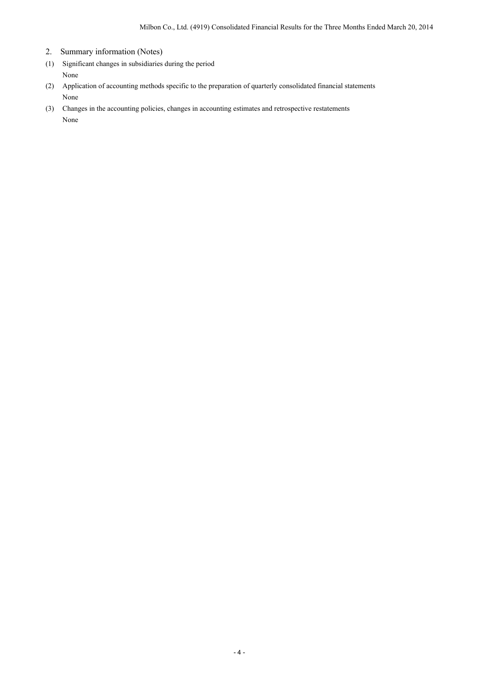- 2. Summary information (Notes)
- (1) Significant changes in subsidiaries during the period None
- (2) Application of accounting methods specific to the preparation of quarterly consolidated financial statements None
- (3) Changes in the accounting policies, changes in accounting estimates and retrospective restatements None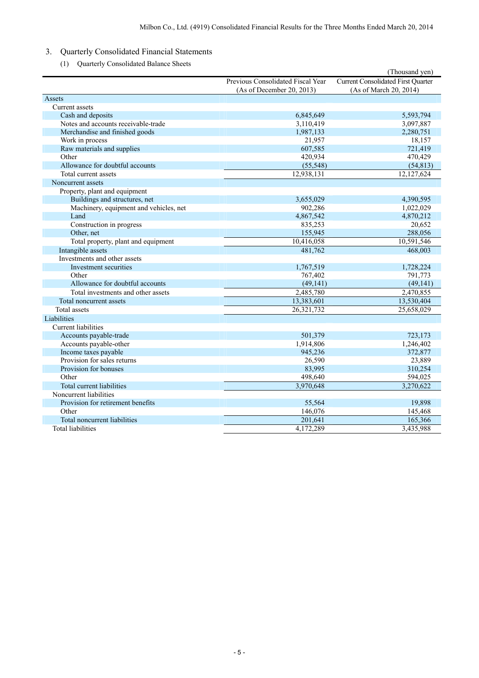- 3. Quarterly Consolidated Financial Statements
	- (1) Quarterly Consolidated Balance Sheets

|                                        |                                   | (Thousand yen)                            |
|----------------------------------------|-----------------------------------|-------------------------------------------|
|                                        | Previous Consolidated Fiscal Year | <b>Current Consolidated First Quarter</b> |
|                                        | (As of December 20, 2013)         | (As of March 20, 2014)                    |
| Assets                                 |                                   |                                           |
| Current assets                         |                                   |                                           |
| Cash and deposits                      | 6,845,649                         | 5,593,794                                 |
| Notes and accounts receivable-trade    | 3,110,419                         | 3,097,887                                 |
| Merchandise and finished goods         | 1,987,133                         | 2,280,751                                 |
| Work in process                        | 21,957                            | 18,157                                    |
| Raw materials and supplies             | 607,585                           | 721,419                                   |
| Other                                  | 420,934                           | 470,429                                   |
| Allowance for doubtful accounts        | (55, 548)                         | (54, 813)                                 |
| Total current assets                   | 12,938,131                        | 12,127,624                                |
| Noncurrent assets                      |                                   |                                           |
| Property, plant and equipment          |                                   |                                           |
| Buildings and structures, net          | 3,655,029                         | 4,390,595                                 |
| Machinery, equipment and vehicles, net | 902,286                           | 1,022,029                                 |
| Land                                   | 4,867,542                         | 4,870,212                                 |
| Construction in progress               | 835,253                           | 20,652                                    |
| Other, net                             | 155,945                           | 288,056                                   |
| Total property, plant and equipment    | 10,416,058                        | 10,591,546                                |
| Intangible assets                      | 481,762                           | 468,003                                   |
| Investments and other assets           |                                   |                                           |
| Investment securities                  | 1,767,519                         | 1,728,224                                 |
| Other                                  | 767,402                           | 791,773                                   |
| Allowance for doubtful accounts        | (49, 141)                         | (49, 141)                                 |
| Total investments and other assets     | 2,485,780                         | 2,470,855                                 |
| Total noncurrent assets                | 13,383,601                        | 13,530,404                                |
| Total assets                           | 26,321,732                        | 25,658,029                                |
| Liabilities                            |                                   |                                           |
| <b>Current liabilities</b>             |                                   |                                           |
| Accounts payable-trade                 | 501,379                           | 723,173                                   |
| Accounts payable-other                 | 1,914,806                         | 1,246,402                                 |
| Income taxes payable                   | 945,236                           | 372,877                                   |
| Provision for sales returns            | 26,590                            | 23,889                                    |
| Provision for bonuses                  | 83,995                            | 310,254                                   |
| Other                                  | 498.640                           | 594,025                                   |
| Total current liabilities              | 3,970,648                         | 3,270,622                                 |
| Noncurrent liabilities                 |                                   |                                           |
| Provision for retirement benefits      | 55,564                            | 19,898                                    |
| Other                                  | 146,076                           | 145,468                                   |
| Total noncurrent liabilities           | 201,641                           | 165,366                                   |
| <b>Total liabilities</b>               | 4,172,289                         | 3,435,988                                 |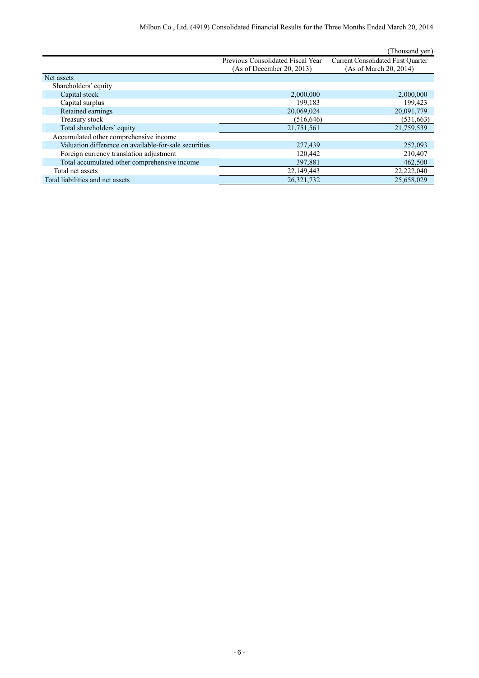|                                                       |                                   | (Thousand yen)                            |
|-------------------------------------------------------|-----------------------------------|-------------------------------------------|
|                                                       | Previous Consolidated Fiscal Year | <b>Current Consolidated First Quarter</b> |
|                                                       | (As of December 20, 2013)         | (As of March 20, 2014)                    |
| Net assets                                            |                                   |                                           |
| Shareholders' equity                                  |                                   |                                           |
| Capital stock                                         | 2,000,000                         | 2,000,000                                 |
| Capital surplus                                       | 199.183                           | 199,423                                   |
| Retained earnings                                     | 20,069,024                        | 20,091,779                                |
| Treasury stock                                        | (516, 646)                        | (531,663)                                 |
| Total shareholders' equity                            | 21,751,561                        | 21,759,539                                |
| Accumulated other comprehensive income                |                                   |                                           |
| Valuation difference on available-for-sale securities | 277,439                           | 252,093                                   |
| Foreign currency translation adjustment               | 120,442                           | 210,407                                   |
| Total accumulated other comprehensive income          | 397,881                           | 462,500                                   |
| Total net assets                                      | 22,149,443                        | 22,222,040                                |
| Total liabilities and net assets                      | 26,321,732                        | 25,658,029                                |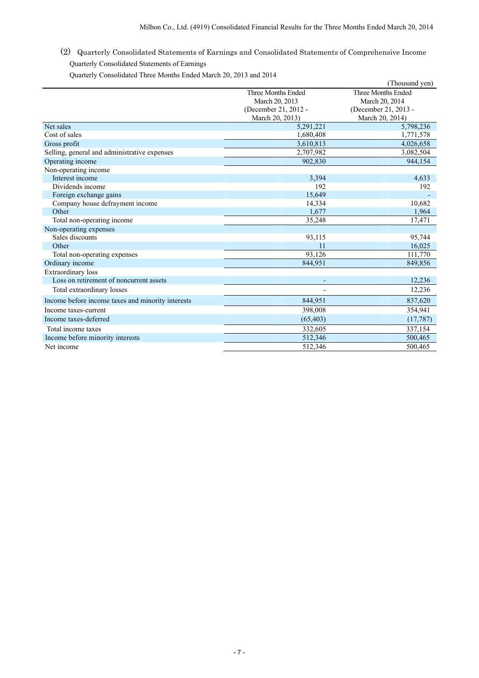(2) Quarterly Consolidated Statements of Earnings and Consolidated Statements of Comprehensive Income Quarterly Consolidated Statements of Earnings

Quarterly Consolidated Three Months Ended March 20, 2013 and 2014

|                                                   |                      | (Thousand yen)       |
|---------------------------------------------------|----------------------|----------------------|
|                                                   | Three Months Ended   | Three Months Ended   |
|                                                   | March 20, 2013       | March 20, 2014       |
|                                                   | (December 21, 2012 - | (December 21, 2013 - |
|                                                   | March 20, 2013)      | March 20, 2014)      |
| Net sales                                         | 5,291,221            | 5,798,236            |
| Cost of sales                                     | 1,680,408            | 1,771,578            |
| Gross profit                                      | 3,610,813            | 4,026,658            |
| Selling, general and administrative expenses      | 2,707,982            | 3,082,504            |
| Operating income                                  | 902.830              | 944.154              |
| Non-operating income                              |                      |                      |
| Interest income                                   | 3,394                | 4,633                |
| Dividends income                                  | 192                  | 192                  |
| Foreign exchange gains                            | 15,649               |                      |
| Company house defrayment income                   | 14,334               | 10,682               |
| Other                                             | 1,677                | 1,964                |
| Total non-operating income                        | 35,248               | 17,471               |
| Non-operating expenses                            |                      |                      |
| Sales discounts                                   | 93,115               | 95,744               |
| Other                                             | 11                   | 16,025               |
| Total non-operating expenses                      | 93,126               | 111,770              |
| Ordinary income                                   | 844,951              | 849,856              |
| Extraordinary loss                                |                      |                      |
| Loss on retirement of noncurrent assets           |                      | 12,236               |
| Total extraordinary losses                        |                      | 12,236               |
| Income before income taxes and minority interests | 844,951              | 837,620              |
| Income taxes-current                              | 398,008              | 354,941              |
| Income taxes-deferred                             | (65, 403)            | (17, 787)            |
| Total income taxes                                | 332,605              | 337,154              |
| Income before minority interests                  | 512,346              | 500,465              |
| Net income                                        | 512,346              | 500,465              |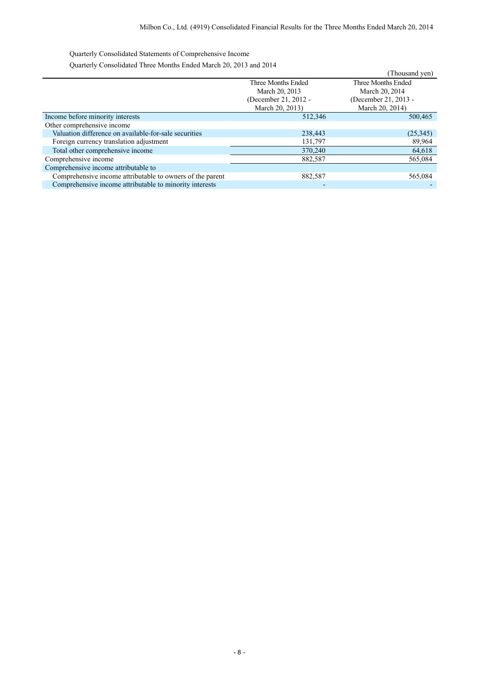Quarterly Consolidated Statements of Comprehensive Income

Quarterly Consolidated Three Months Ended March 20, 2013 and 2014

| $\sqrt{a}$ and $\sqrt{b}$ and $\sqrt{c}$ and $\sqrt{c}$ and $\sqrt{c}$ and $\sqrt{c}$ and $\sqrt{c}$ and $\sqrt{c}$ and $\sqrt{c}$ and $\sqrt{c}$ |                      | (Thousand yen)       |
|---------------------------------------------------------------------------------------------------------------------------------------------------|----------------------|----------------------|
|                                                                                                                                                   | Three Months Ended   | Three Months Ended   |
|                                                                                                                                                   | March 20, 2013       | March 20, 2014       |
|                                                                                                                                                   | (December 21, 2012 - | (December 21, 2013 - |
|                                                                                                                                                   | March 20, 2013)      | March 20, 2014)      |
| Income before minority interests                                                                                                                  | 512,346              | 500,465              |
| Other comprehensive income                                                                                                                        |                      |                      |
| Valuation difference on available-for-sale securities                                                                                             | 238,443              | (25,345)             |
| Foreign currency translation adjustment                                                                                                           | 131,797              | 89,964               |
| Total other comprehensive income                                                                                                                  | 370,240              | 64,618               |
| Comprehensive income                                                                                                                              | 882,587              | 565,084              |
| Comprehensive income attributable to                                                                                                              |                      |                      |
| Comprehensive income attributable to owners of the parent                                                                                         | 882,587              | 565,084              |
| Comprehensive income attributable to minority interests                                                                                           |                      |                      |